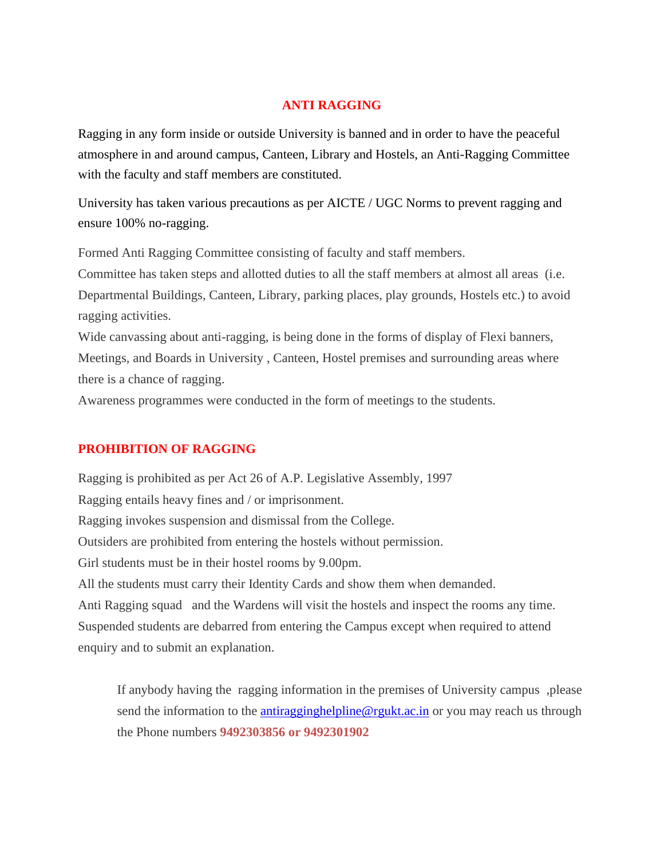### **ANTI RAGGING**

Ragging in any form inside or outside University is banned and in order to have the peaceful atmosphere in and around campus, Canteen, Library and Hostels, an Anti-Ragging Committee with the faculty and staff members are constituted.

University has taken various precautions as per AICTE / UGC Norms to prevent ragging and ensure 100% no-ragging.

• Formed Anti Ragging Committee consisting of faculty and staff members.

• Committee has taken steps and allotted duties to all the staff members at almost all areas (i.e. Departmental Buildings, Canteen, Library, parking places, play grounds, Hostels etc.) to avoid ragging activities.

Wide canvassing about anti-ragging, is being done in the forms of display of Flexi banners, Meetings, and Boards in University , Canteen, Hostel premises and surrounding areas where there is a chance of ragging.

• Awareness programmes were conducted in the form of meetings to the students.

### **PROHIBITION OF RAGGING**

Ragging is prohibited as per Act 26 of A.P. Legislative Assembly, 1997 Ragging entails heavy fines and / or imprisonment. Ragging invokes suspension and dismissal from the College. Outsiders are prohibited from entering the hostels without permission. Girl students must be in their hostel rooms by 9.00pm. All the students must carry their Identity Cards and show them when demanded. Anti Ragging squad and the Wardens will visit the hostels and inspect the rooms any time. Suspended students are debarred from entering the Campus except when required to attend enquiry and to submit an explanation.

If anybody having the ragging information in the premises of University campus ,please send the information to the antitragginghelpline@rgukt.ac.in or you may reach us through the Phone numbers **9492303856 or 9492301902**